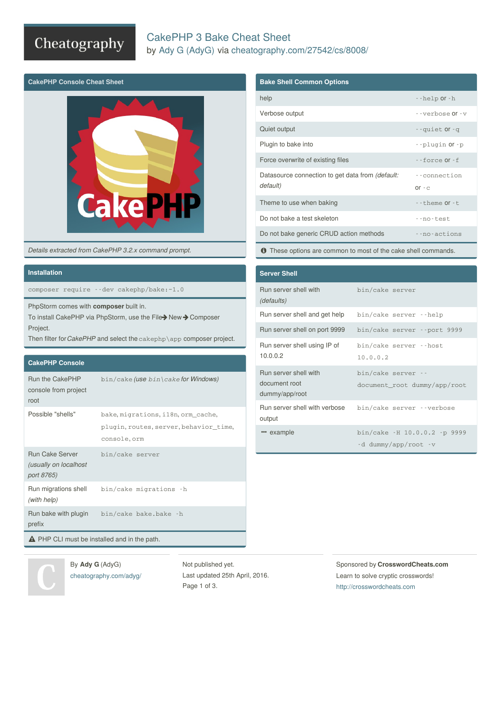## Cheatography

## CakePHP 3 Bake Cheat Sheet by Ady G [\(AdyG\)](http://www.cheatography.com/adyg/) via [cheatography.com/27542/cs/8008/](http://www.cheatography.com/adyg/cheat-sheets/cakephp-3-bake)



*Details extracted from CakePHP 3.2.x command prompt.*

### **Installation**

composer require --dev cakephp/bake:~1.0

PhpStorm comes with **composer** built in.

To install CakePHP via PhpStorm, use the File>New > Composer Project.

Then filter for *CakePHP* and select the cakephp\app composer project.

#### **CakePHP Console**

| Run the CakePHP<br>console from project<br>root               | $bin/cake$ (use $bin\ncake$ for Windows)                                                     |  |
|---------------------------------------------------------------|----------------------------------------------------------------------------------------------|--|
| Possible "shells"                                             | bake, migrations, i18n, orm_cache,<br>plugin, routes, server, behavior time,<br>console, orm |  |
| <b>Run Cake Server</b><br>(usually on localhost<br>port 8765) | bin/cake server                                                                              |  |
| Run migrations shell<br>(with help)                           | bin/cake migrations -h                                                                       |  |
| Run bake with plugin<br>prefix                                | bin/cake bake.bake -h                                                                        |  |
| <b>A</b> PHP CLI must be installed and in the path.           |                                                                                              |  |

### **Bake Shell Common Options**

| help                                                                | --help or-h             |
|---------------------------------------------------------------------|-------------------------|
| Verbose output                                                      | $-$ verbose $0r - v$    |
| Quiet output                                                        | --quiet Or -q           |
| Plugin to bake into                                                 | --plugin Or-p           |
| Force overwrite of existing files                                   | $-$ force $0r - f$      |
| Datasource connection to get data from <i>(default:</i><br>default) | --connection<br>$or -c$ |
| Theme to use when baking                                            | $-$ -theme $or -t$ .    |
|                                                                     |                         |
| Do not bake a test skeleton                                         | --no-test               |
| Do not bake generic CRUD action methods                             | --no-actions            |
|                                                                     |                         |

 $\bullet$  These options are common to most of the cake shell commands.

| <b>Server Shell</b>                                      |                                                      |
|----------------------------------------------------------|------------------------------------------------------|
| Run server shell with<br>(defaults)                      | bin/cake server                                      |
| Run server shell and get help                            | bin/cake server --help                               |
| Run server shell on port 9999                            | bin/cake server --port 9999                          |
| Run server shell using IP of<br>10.0.0.2                 | bin/cake server --host<br>10.0.0.2                   |
| Run server shell with<br>document root<br>dummy/app/root | bin/cake server --<br>document_root dummy/app/root   |
| Run server shell with verbose<br>output                  | bin/cake server --verbose                            |
| " example                                                | bin/cake -H 10.0.0.2 -p 9999<br>-d dummy/app/root -v |

By **Ady G** (AdyG) [cheatography.com/adyg/](http://www.cheatography.com/adyg/) Not published yet. Last updated 25th April, 2016. Page 1 of 3.

Sponsored by **CrosswordCheats.com** Learn to solve cryptic crosswords! <http://crosswordcheats.com>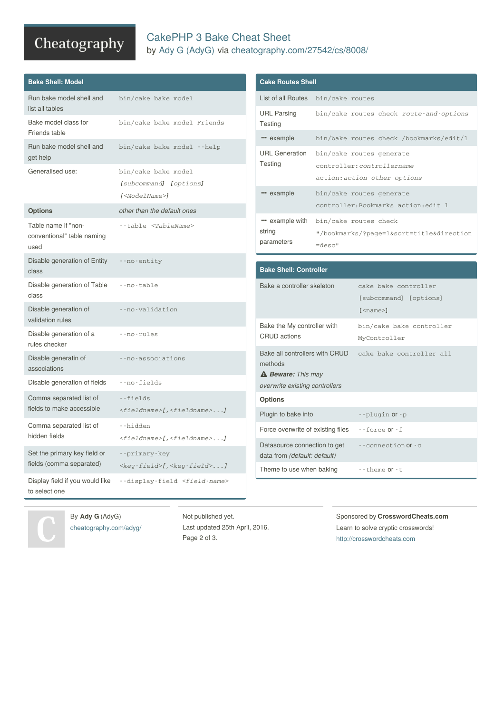# Cheatography

## CakePHP 3 Bake Cheat Sheet by Ady G [\(AdyG\)](http://www.cheatography.com/adyg/) via [cheatography.com/27542/cs/8008/](http://www.cheatography.com/adyg/cheat-sheets/cakephp-3-bake)

| <b>Bake Shell: Model</b>                                                                       |                                                               | <b>Cake Routes Shell</b>                                                                                                      |           |                                                            |  |
|------------------------------------------------------------------------------------------------|---------------------------------------------------------------|-------------------------------------------------------------------------------------------------------------------------------|-----------|------------------------------------------------------------|--|
| Run bake model shell and                                                                       | bin/cake bake model                                           | List of all Routes bin/cake routes                                                                                            |           |                                                            |  |
| list all tables                                                                                |                                                               |                                                                                                                               |           | bin/cake routes check route-and-options                    |  |
| Bake model class for<br>Friends table                                                          | bin/cake bake model Friends                                   | <b>Testing</b>                                                                                                                |           |                                                            |  |
| Run bake model shell and                                                                       | bin/cake bake model --help                                    | " example                                                                                                                     |           | bin/bake routes check /bookmarks/edit/1                    |  |
| get help                                                                                       |                                                               | <b>URL</b> Generation<br>Testing                                                                                              |           | bin/cake routes generate                                   |  |
| Generalised use:                                                                               | bin/cake bake model                                           |                                                                                                                               |           | controller: controllername<br>action: action other options |  |
|                                                                                                | [subcommand] [options]                                        | " example                                                                                                                     |           | bin/cake routes generate                                   |  |
|                                                                                                | $I < M$ odelName> $I$                                         |                                                                                                                               |           | controller: Bookmarks action: edit 1                       |  |
| <b>Options</b>                                                                                 | other than the default ones                                   | " example with                                                                                                                |           | bin/cake routes check                                      |  |
| Table name if "non-<br>conventional" table naming<br>used                                      | --table <tablename></tablename>                               | string                                                                                                                        |           | "/bookmarks/?page=1&sort=title&direction                   |  |
|                                                                                                |                                                               | parameters                                                                                                                    | $=$ desc" |                                                            |  |
| Disable generation of Entity                                                                   | --no-entity                                                   |                                                                                                                               |           |                                                            |  |
| class                                                                                          |                                                               | <b>Bake Shell: Controller</b>                                                                                                 |           |                                                            |  |
| Disable generation of Table<br>--no-table<br>class<br>Disable generation of<br>--no-validation |                                                               | Bake a controller skeleton                                                                                                    |           | cake bake controller                                       |  |
|                                                                                                |                                                               |                                                                                                                               |           | [subcommand] [options]                                     |  |
| validation rules                                                                               |                                                               |                                                                                                                               |           | $[$ <name<math>&gt;]</name<math>                           |  |
| Disable generation of a<br>--no-rules                                                          |                                                               | Bake the My controller with<br><b>CRUD</b> actions                                                                            |           | bin/cake bake controller<br>MyController                   |  |
| rules checker                                                                                  |                                                               | Bake all controllers with CRUD                                                                                                |           | cake bake controller all                                   |  |
| Disable generatin of                                                                           | --no-associations                                             | methods                                                                                                                       |           |                                                            |  |
| associations<br>Disable generation of fields                                                   | --no-fields                                                   | <b>A Beware:</b> This may                                                                                                     |           |                                                            |  |
|                                                                                                |                                                               | overwrite existing controllers                                                                                                |           |                                                            |  |
| Comma separated list of<br>fields to make accessible                                           | --fields<br><fieldname>[,<fieldname>]</fieldname></fieldname> | <b>Options</b>                                                                                                                |           |                                                            |  |
| Comma separated list of                                                                        | --hidden                                                      | Plugin to bake into                                                                                                           |           | --plugin Or-p                                              |  |
| hidden fields                                                                                  | <fieldname>[,<fieldname>]</fieldname></fieldname>             | Force overwrite of existing files<br>Datasource connection to get<br>data from (default: default)<br>Theme to use when baking |           | $-$ force Or $-$ f                                         |  |
| Set the primary key field or                                                                   | --primary-key                                                 |                                                                                                                               |           | -- connection Of -c<br>--theme or-t                        |  |
| fields (comma separated)                                                                       | $\langle key-field \rangle$ [, $\langle key-field \rangle$ ]  |                                                                                                                               |           |                                                            |  |
| Display field if you would like                                                                | --display-field <field-name></field-name>                     |                                                                                                                               |           |                                                            |  |
| to select one                                                                                  |                                                               |                                                                                                                               |           |                                                            |  |

By **Ady G** (AdyG) [cheatography.com/adyg/](http://www.cheatography.com/adyg/)

Not published yet. Last updated 25th April, 2016. Page 2 of 3.

Sponsored by **CrosswordCheats.com** Learn to solve cryptic crosswords! <http://crosswordcheats.com>